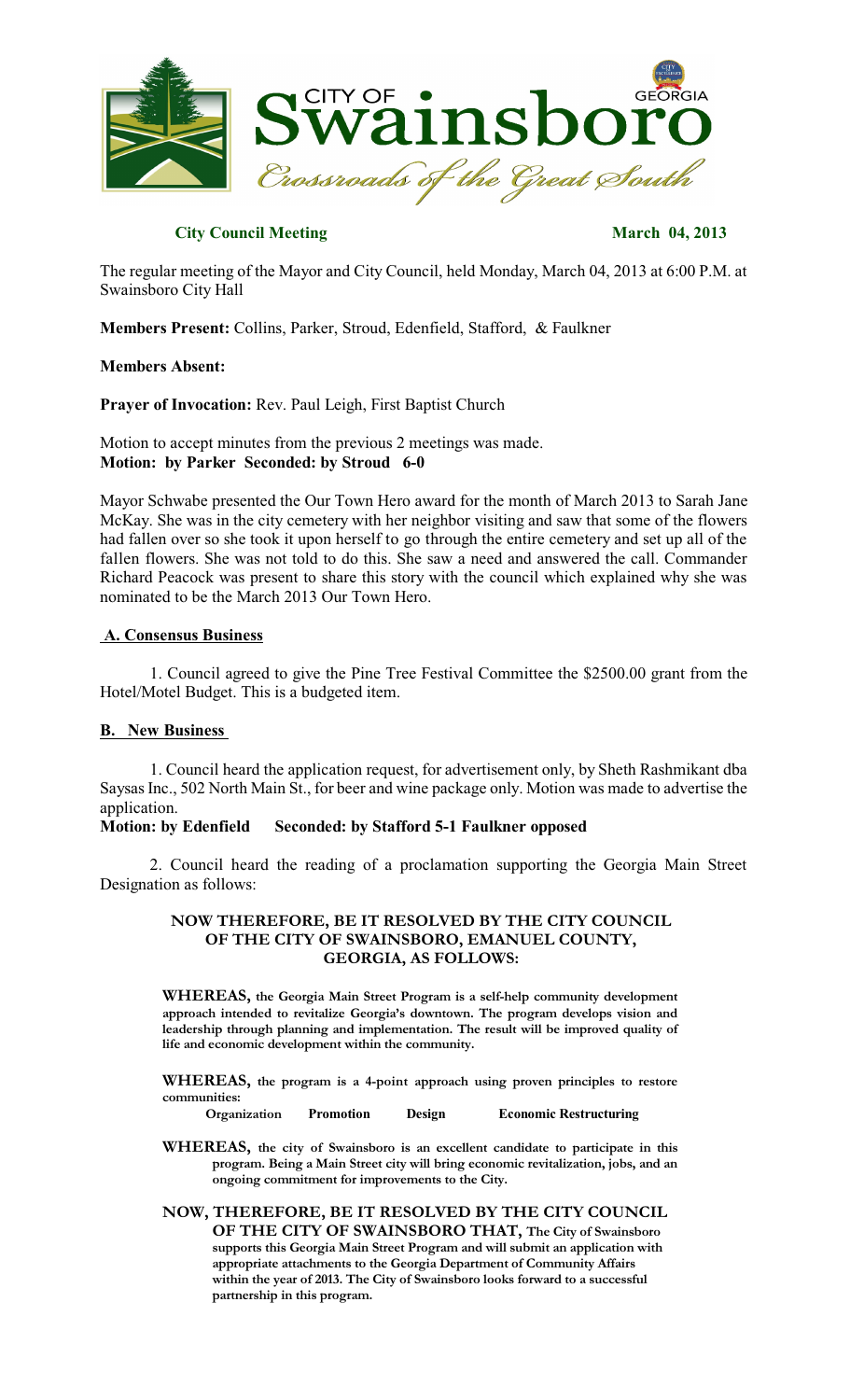

# **City Council Meeting March 04, 2013**

The regular meeting of the Mayor and City Council, held Monday, March 04, 2013 at 6:00 P.M. at Swainsboro City Hall

**Members Present:** Collins, Parker, Stroud, Edenfield, Stafford, & Faulkner

#### **Members Absent:**

**Prayer of Invocation:** Rev. Paul Leigh, First Baptist Church

Motion to accept minutes from the previous 2 meetings was made. **Motion: by Parker Seconded: by Stroud 6-0**

Mayor Schwabe presented the Our Town Hero award for the month of March 2013 to Sarah Jane McKay. She was in the city cemetery with her neighbor visiting and saw that some of the flowers had fallen over so she took it upon herself to go through the entire cemetery and set up all of the fallen flowers. She was not told to do this. She saw a need and answered the call. Commander Richard Peacock was present to share this story with the council which explained why she was nominated to be the March 2013 Our Town Hero.

#### **A. Consensus Business**

1. Council agreed to give the Pine Tree Festival Committee the \$2500.00 grant from the Hotel/Motel Budget. This is a budgeted item.

#### **B. New Business**

1. Council heard the application request, for advertisement only, by Sheth Rashmikant dba Saysas Inc., 502 North Main St., for beer and wine package only. Motion was made to advertise the application.

## **Motion: by Edenfield Seconded: by Stafford 5-1 Faulkner opposed**

2. Council heard the reading of a proclamation supporting the Georgia Main Street Designation as follows:

## **NOW THEREFORE, BE IT RESOLVED BY THE CITY COUNCIL OF THE CITY OF SWAINSBORO, EMANUEL COUNTY, GEORGIA, AS FOLLOWS:**

**WHEREAS, the Georgia Main Street Program is a self-help community development approach intended to revitalize Georgia's downtown. The program develops vision and leadership through planning and implementation. The result will be improved quality of life and economic development within the community.**

**WHEREAS, the program is a 4-point approach using proven principles to restore communities:**

**Organization Promotion Design Economic Restructuring**

**WHEREAS, the city of Swainsboro is an excellent candidate to participate in this program. Being a Main Street city will bring economic revitalization, jobs, and an ongoing commitment for improvements to the City.**

#### **NOW, THEREFORE, BE IT RESOLVED BY THE CITY COUNCIL OF THE CITY OF SWAINSBORO THAT, The City of Swainsboro supports this Georgia Main Street Program and will submit an application with appropriate attachments to the Georgia Department of Community Affairs within the year of 2013. The City of Swainsboro looks forward to a successful partnership in this program.**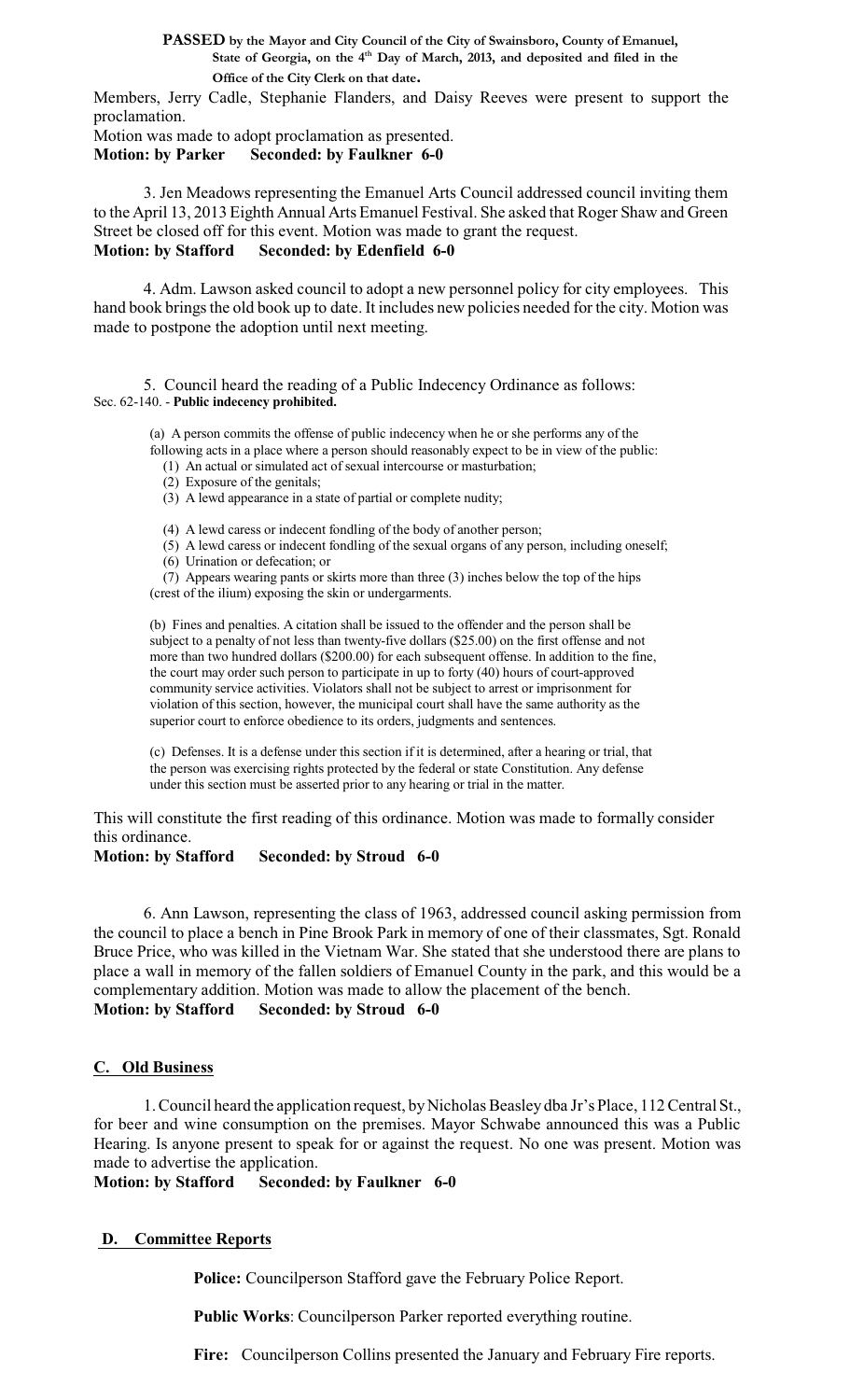**PASSED by the Mayor and City Council of the City of Swainsboro, County of Emanuel, State of Georgia, on the 4 th Day of March, 2013, and deposited and filed in the Office of the City Clerk on that date.**

Members, Jerry Cadle, Stephanie Flanders, and Daisy Reeves were present to support the proclamation.

Motion was made to adopt proclamation as presented.

**Motion: by Parker Seconded: by Faulkner 6-0**

3. Jen Meadows representing the Emanuel Arts Council addressed council inviting them to the April 13, 2013 Eighth Annual Arts Emanuel Festival. She asked that Roger Shaw and Green Street be closed off for this event. Motion was made to grant the request. **Motion: by Stafford Seconded: by Edenfield 6-0**

4. Adm. Lawson asked council to adopt a new personnel policy for city employees. This hand book brings the old book up to date. It includes new policies needed for the city. Motion was made to postpone the adoption until next meeting.

5. Council heard the reading of a Public Indecency Ordinance as follows: Sec. 62-140. - **Public indecency prohibited.**

(a) A person commits the offense of public indecency when he or she performs any of the following acts in a place where a person should reasonably expect to be in view of the public:

- (1) An actual or simulated act of sexual intercourse or masturbation;
- (2) Exposure of the genitals;
- (3) A lewd appearance in a state of partial or complete nudity;

(4) A lewd caress or indecent fondling of the body of another person;

- (5) A lewd caress or indecent fondling of the sexual organs of any person, including oneself;
- (6) Urination or defecation; or
- (7) Appears wearing pants or skirts more than three (3) inches below the top of the hips
- (crest of the ilium) exposing the skin or undergarments.

(b) Fines and penalties. A citation shall be issued to the offender and the person shall be subject to a penalty of not less than twenty-five dollars (\$25.00) on the first offense and not more than two hundred dollars (\$200.00) for each subsequent offense. In addition to the fine, the court may order such person to participate in up to forty (40) hours of court-approved community service activities. Violators shall not be subject to arrest or imprisonment for violation of this section, however, the municipal court shall have the same authority as the superior court to enforce obedience to its orders, judgments and sentences.

(c) Defenses. It is a defense under this section if it is determined, after a hearing or trial, that the person was exercising rights protected by the federal or state Constitution. Any defense under this section must be asserted prior to any hearing or trial in the matter.

This will constitute the first reading of this ordinance. Motion was made to formally consider this ordinance.

**Motion: by Stafford Seconded: by Stroud 6-0**

6. Ann Lawson, representing the class of 1963, addressed council asking permission from the council to place a bench in Pine Brook Park in memory of one of their classmates, Sgt. Ronald Bruce Price, who was killed in the Vietnam War. She stated that she understood there are plans to place a wall in memory of the fallen soldiers of Emanuel County in the park, and this would be a complementary addition. Motion was made to allow the placement of the bench. **Motion: by Stafford Seconded: by Stroud 6-0**

# **C. Old Business**

1. Council heard the application request, by Nicholas Beasley dba Jr's Place, 112 Central St., for beer and wine consumption on the premises. Mayor Schwabe announced this was a Public Hearing. Is anyone present to speak for or against the request. No one was present. Motion was made to advertise the application.

**Motion: by Stafford Seconded: by Faulkner 6-0**

# **D. Committee Reports**

**Police:** Councilperson Stafford gave the February Police Report.

**Public Works**: Councilperson Parker reported everything routine.

**Fire:** Councilperson Collins presented the January and February Fire reports.